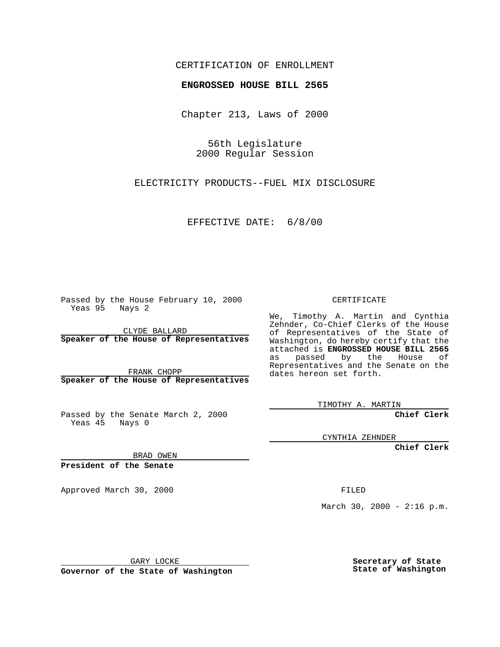## CERTIFICATION OF ENROLLMENT

# **ENGROSSED HOUSE BILL 2565**

Chapter 213, Laws of 2000

56th Legislature 2000 Regular Session

ELECTRICITY PRODUCTS--FUEL MIX DISCLOSURE

#### EFFECTIVE DATE: 6/8/00

Passed by the House February 10, 2000 Yeas 95 Nays 2

CLYDE BALLARD **Speaker of the House of Representatives**

FRANK CHOPP **Speaker of the House of Representatives**

Passed by the Senate March 2, 2000 Yeas 45 Nays 0

CERTIFICATE

We, Timothy A. Martin and Cynthia Zehnder, Co-Chief Clerks of the House of Representatives of the State of Washington, do hereby certify that the attached is **ENGROSSED HOUSE BILL 2565** as passed by the House of Representatives and the Senate on the dates hereon set forth.

TIMOTHY A. MARTIN

**Chief Clerk**

CYNTHIA ZEHNDER

**Chief Clerk**

BRAD OWEN

**President of the Senate**

Approved March 30, 2000 FILED

March 30, 2000 -  $2:16$  p.m.

GARY LOCKE

**Governor of the State of Washington**

**Secretary of State State of Washington**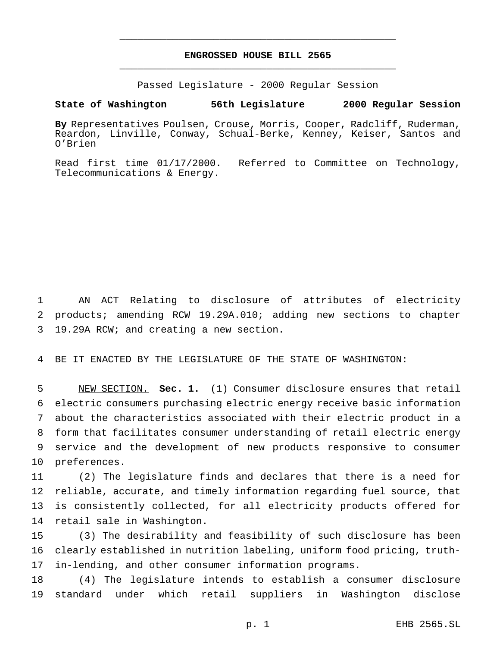# **ENGROSSED HOUSE BILL 2565** \_\_\_\_\_\_\_\_\_\_\_\_\_\_\_\_\_\_\_\_\_\_\_\_\_\_\_\_\_\_\_\_\_\_\_\_\_\_\_\_\_\_\_\_\_\_\_

\_\_\_\_\_\_\_\_\_\_\_\_\_\_\_\_\_\_\_\_\_\_\_\_\_\_\_\_\_\_\_\_\_\_\_\_\_\_\_\_\_\_\_\_\_\_\_

Passed Legislature - 2000 Regular Session

#### **State of Washington 56th Legislature 2000 Regular Session**

**By** Representatives Poulsen, Crouse, Morris, Cooper, Radcliff, Ruderman, Reardon, Linville, Conway, Schual-Berke, Kenney, Keiser, Santos and O'Brien

Read first time 01/17/2000. Referred to Committee on Technology, Telecommunications & Energy.

 AN ACT Relating to disclosure of attributes of electricity products; amending RCW 19.29A.010; adding new sections to chapter 19.29A RCW; and creating a new section.

BE IT ENACTED BY THE LEGISLATURE OF THE STATE OF WASHINGTON:

 NEW SECTION. **Sec. 1.** (1) Consumer disclosure ensures that retail electric consumers purchasing electric energy receive basic information about the characteristics associated with their electric product in a form that facilitates consumer understanding of retail electric energy service and the development of new products responsive to consumer preferences.

 (2) The legislature finds and declares that there is a need for reliable, accurate, and timely information regarding fuel source, that is consistently collected, for all electricity products offered for retail sale in Washington.

 (3) The desirability and feasibility of such disclosure has been clearly established in nutrition labeling, uniform food pricing, truth-in-lending, and other consumer information programs.

 (4) The legislature intends to establish a consumer disclosure standard under which retail suppliers in Washington disclose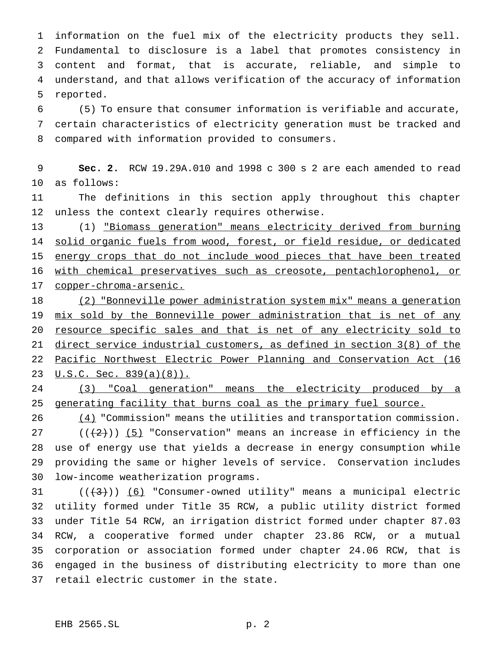information on the fuel mix of the electricity products they sell. Fundamental to disclosure is a label that promotes consistency in content and format, that is accurate, reliable, and simple to understand, and that allows verification of the accuracy of information reported.

 (5) To ensure that consumer information is verifiable and accurate, certain characteristics of electricity generation must be tracked and compared with information provided to consumers.

 **Sec. 2.** RCW 19.29A.010 and 1998 c 300 s 2 are each amended to read as follows:

 The definitions in this section apply throughout this chapter unless the context clearly requires otherwise.

 (1) "Biomass generation" means electricity derived from burning 14 solid organic fuels from wood, forest, or field residue, or dedicated energy crops that do not include wood pieces that have been treated with chemical preservatives such as creosote, pentachlorophenol, or copper-chroma-arsenic.

18 (2) "Bonneville power administration system mix" means a generation 19 mix sold by the Bonneville power administration that is net of any 20 resource specific sales and that is net of any electricity sold to direct service industrial customers, as defined in section 3(8) of the Pacific Northwest Electric Power Planning and Conservation Act (16 U.S.C. Sec. 839(a)(8)).

 (3) "Coal generation" means the electricity produced by a 25 generating facility that burns coal as the primary fuel source.

26 (4) "Commission" means the utilities and transportation commission. 27 ( $(\frac{2}{2})$ ) (5) "Conservation" means an increase in efficiency in the use of energy use that yields a decrease in energy consumption while providing the same or higher levels of service. Conservation includes low-income weatherization programs.

 $((+3))$   $(6)$  "Consumer-owned utility" means a municipal electric utility formed under Title 35 RCW, a public utility district formed under Title 54 RCW, an irrigation district formed under chapter 87.03 RCW, a cooperative formed under chapter 23.86 RCW, or a mutual corporation or association formed under chapter 24.06 RCW, that is engaged in the business of distributing electricity to more than one retail electric customer in the state.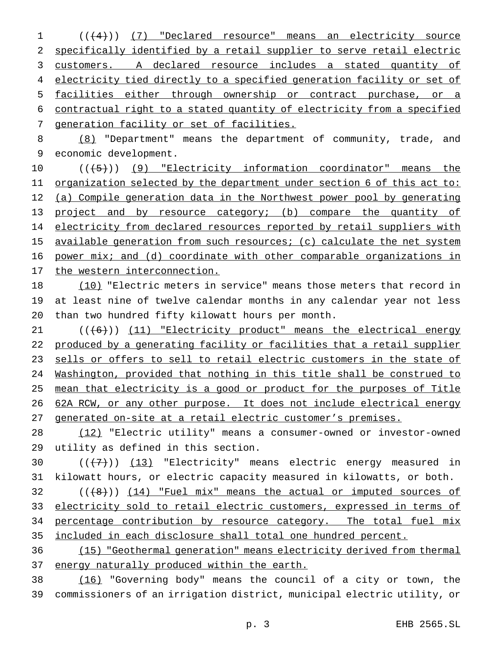(((4))) (7) "Declared resource" means an electricity source specifically identified by a retail supplier to serve retail electric customers. A declared resource includes a stated quantity of 4 electricity tied directly to a specified generation facility or set of facilities either through ownership or contract purchase, or a contractual right to a stated quantity of electricity from a specified generation facility or set of facilities.

 (8) "Department" means the department of community, trade, and economic development.

10  $((+5))$  (9) "Electricity information coordinator" means the 11 organization selected by the department under section 6 of this act to: 12 (a) Compile generation data in the Northwest power pool by generating 13 project and by resource category; (b) compare the quantity of 14 electricity from declared resources reported by retail suppliers with 15 available generation from such resources; (c) calculate the net system 16 power mix; and (d) coordinate with other comparable organizations in the western interconnection.

 (10) "Electric meters in service" means those meters that record in at least nine of twelve calendar months in any calendar year not less than two hundred fifty kilowatt hours per month.

21 (((6))) (11) "Electricity product" means the electrical energy produced by a generating facility or facilities that a retail supplier sells or offers to sell to retail electric customers in the state of Washington, provided that nothing in this title shall be construed to mean that electricity is a good or product for the purposes of Title 62A RCW, or any other purpose. It does not include electrical energy generated on-site at a retail electric customer's premises.

 (12) "Electric utility" means a consumer-owned or investor-owned utility as defined in this section.

30  $((+7))$   $(13)$  "Electricity" means electric energy measured in kilowatt hours, or electric capacity measured in kilowatts, or both.

 ( $(\frac{48}{})$ )  $(14)$  "Fuel mix" means the actual or imputed sources of 33 electricity sold to retail electric customers, expressed in terms of 34 percentage contribution by resource category. The total fuel mix included in each disclosure shall total one hundred percent.

 (15) "Geothermal generation" means electricity derived from thermal 37 energy naturally produced within the earth.

 (16) "Governing body" means the council of a city or town, the commissioners of an irrigation district, municipal electric utility, or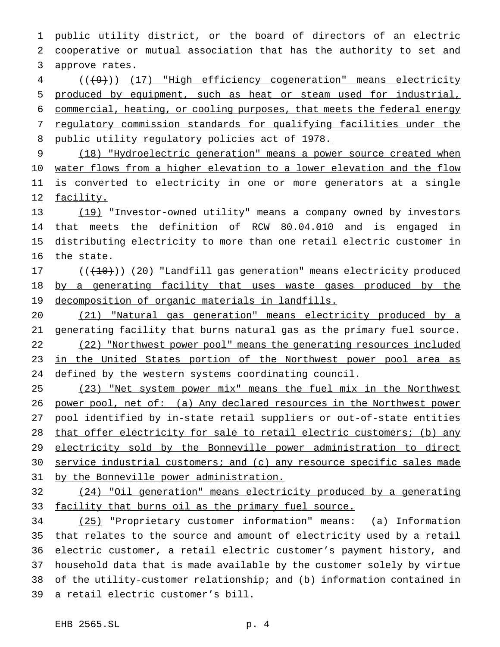public utility district, or the board of directors of an electric cooperative or mutual association that has the authority to set and approve rates.

4 (((9))) (17) "High efficiency cogeneration" means electricity produced by equipment, such as heat or steam used for industrial, commercial, heating, or cooling purposes, that meets the federal energy regulatory commission standards for qualifying facilities under the public utility regulatory policies act of 1978.

 (18) "Hydroelectric generation" means a power source created when 10 water flows from a higher elevation to a lower elevation and the flow 11 is converted to electricity in one or more generators at a single 12 facility.

 (19) "Investor-owned utility" means a company owned by investors that meets the definition of RCW 80.04.010 and is engaged in distributing electricity to more than one retail electric customer in the state.

17 (( $(10)$ ) (20) "Landfill gas generation" means electricity produced by a generating facility that uses waste gases produced by the decomposition of organic materials in landfills.

 (21) "Natural gas generation" means electricity produced by a 21 generating facility that burns natural gas as the primary fuel source. (22) "Northwest power pool" means the generating resources included 23 in the United States portion of the Northwest power pool area as 24 defined by the western systems coordinating council.

 (23) "Net system power mix" means the fuel mix in the Northwest 26 power pool, net of: (a) Any declared resources in the Northwest power pool identified by in-state retail suppliers or out-of-state entities that offer electricity for sale to retail electric customers; (b) any 29 electricity sold by the Bonneville power administration to direct 30 service industrial customers; and (c) any resource specific sales made by the Bonneville power administration.

 (24) "Oil generation" means electricity produced by a generating 33 facility that burns oil as the primary fuel source.

 (25) "Proprietary customer information" means: (a) Information that relates to the source and amount of electricity used by a retail electric customer, a retail electric customer's payment history, and household data that is made available by the customer solely by virtue of the utility-customer relationship; and (b) information contained in a retail electric customer's bill.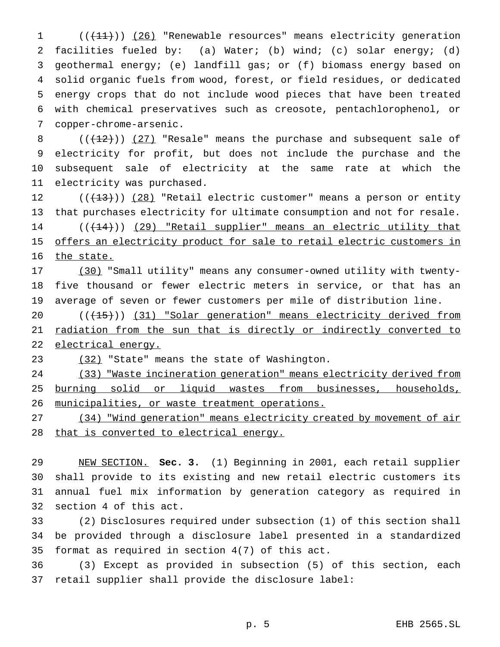1 (( $\left(\frac{11}{11}\right)$ ) (26) "Renewable resources" means electricity generation facilities fueled by: (a) Water; (b) wind; (c) solar energy; (d) geothermal energy; (e) landfill gas; or (f) biomass energy based on solid organic fuels from wood, forest, or field residues, or dedicated energy crops that do not include wood pieces that have been treated with chemical preservatives such as creosote, pentachlorophenol, or copper-chrome-arsenic.

 $((+12))$   $(27)$  "Resale" means the purchase and subsequent sale of electricity for profit, but does not include the purchase and the subsequent sale of electricity at the same rate at which the electricity was purchased.

12  $((+13))$   $(28)$  "Retail electric customer" means a person or entity that purchases electricity for ultimate consumption and not for resale. 14 (( $(14)$ )) (29) "Retail supplier" means an electric utility that 15 offers an electricity product for sale to retail electric customers in 16 the state.

 (30) "Small utility" means any consumer-owned utility with twenty- five thousand or fewer electric meters in service, or that has an average of seven or fewer customers per mile of distribution line.

20 (( $(15)$ )) (31) "Solar generation" means electricity derived from radiation from the sun that is directly or indirectly converted to electrical energy.

(32) "State" means the state of Washington.

 (33) "Waste incineration generation" means electricity derived from burning solid or liquid wastes from businesses, households, municipalities, or waste treatment operations.

 (34) "Wind generation" means electricity created by movement of air that is converted to electrical energy.

 NEW SECTION. **Sec. 3.** (1) Beginning in 2001, each retail supplier shall provide to its existing and new retail electric customers its annual fuel mix information by generation category as required in section 4 of this act.

 (2) Disclosures required under subsection (1) of this section shall be provided through a disclosure label presented in a standardized format as required in section 4(7) of this act.

 (3) Except as provided in subsection (5) of this section, each retail supplier shall provide the disclosure label: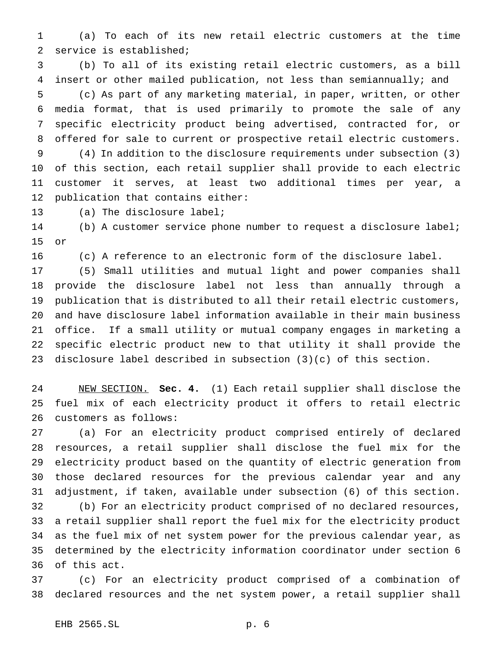(a) To each of its new retail electric customers at the time service is established;

 (b) To all of its existing retail electric customers, as a bill insert or other mailed publication, not less than semiannually; and (c) As part of any marketing material, in paper, written, or other media format, that is used primarily to promote the sale of any specific electricity product being advertised, contracted for, or offered for sale to current or prospective retail electric customers. (4) In addition to the disclosure requirements under subsection (3) of this section, each retail supplier shall provide to each electric customer it serves, at least two additional times per year, a publication that contains either:

(a) The disclosure label;

 (b) A customer service phone number to request a disclosure label; or

(c) A reference to an electronic form of the disclosure label.

 (5) Small utilities and mutual light and power companies shall provide the disclosure label not less than annually through a publication that is distributed to all their retail electric customers, and have disclosure label information available in their main business office. If a small utility or mutual company engages in marketing a specific electric product new to that utility it shall provide the disclosure label described in subsection (3)(c) of this section.

 NEW SECTION. **Sec. 4.** (1) Each retail supplier shall disclose the fuel mix of each electricity product it offers to retail electric customers as follows:

 (a) For an electricity product comprised entirely of declared resources, a retail supplier shall disclose the fuel mix for the electricity product based on the quantity of electric generation from those declared resources for the previous calendar year and any adjustment, if taken, available under subsection (6) of this section. (b) For an electricity product comprised of no declared resources, a retail supplier shall report the fuel mix for the electricity product as the fuel mix of net system power for the previous calendar year, as determined by the electricity information coordinator under section 6 of this act.

 (c) For an electricity product comprised of a combination of declared resources and the net system power, a retail supplier shall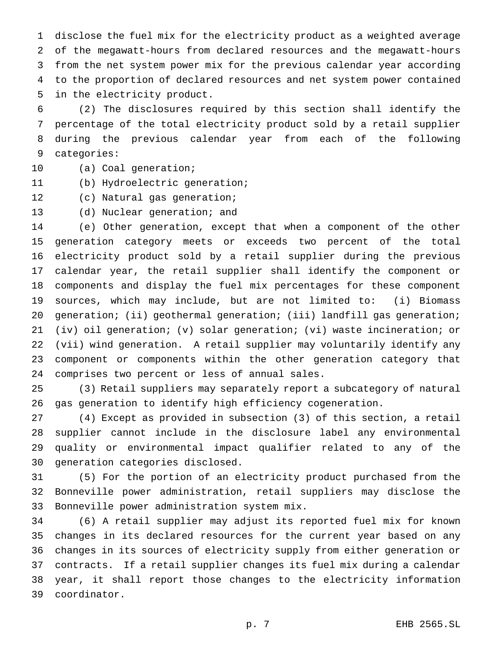disclose the fuel mix for the electricity product as a weighted average of the megawatt-hours from declared resources and the megawatt-hours from the net system power mix for the previous calendar year according to the proportion of declared resources and net system power contained in the electricity product.

 (2) The disclosures required by this section shall identify the percentage of the total electricity product sold by a retail supplier during the previous calendar year from each of the following categories:

- (a) Coal generation;
- (b) Hydroelectric generation;
- (c) Natural gas generation;
- (d) Nuclear generation; and

 (e) Other generation, except that when a component of the other generation category meets or exceeds two percent of the total electricity product sold by a retail supplier during the previous calendar year, the retail supplier shall identify the component or components and display the fuel mix percentages for these component sources, which may include, but are not limited to: (i) Biomass 20 generation; (ii) geothermal generation; (iii) landfill gas generation; (iv) oil generation; (v) solar generation; (vi) waste incineration; or (vii) wind generation. A retail supplier may voluntarily identify any component or components within the other generation category that comprises two percent or less of annual sales.

 (3) Retail suppliers may separately report a subcategory of natural gas generation to identify high efficiency cogeneration.

 (4) Except as provided in subsection (3) of this section, a retail supplier cannot include in the disclosure label any environmental quality or environmental impact qualifier related to any of the generation categories disclosed.

 (5) For the portion of an electricity product purchased from the Bonneville power administration, retail suppliers may disclose the Bonneville power administration system mix.

 (6) A retail supplier may adjust its reported fuel mix for known changes in its declared resources for the current year based on any changes in its sources of electricity supply from either generation or contracts. If a retail supplier changes its fuel mix during a calendar year, it shall report those changes to the electricity information coordinator.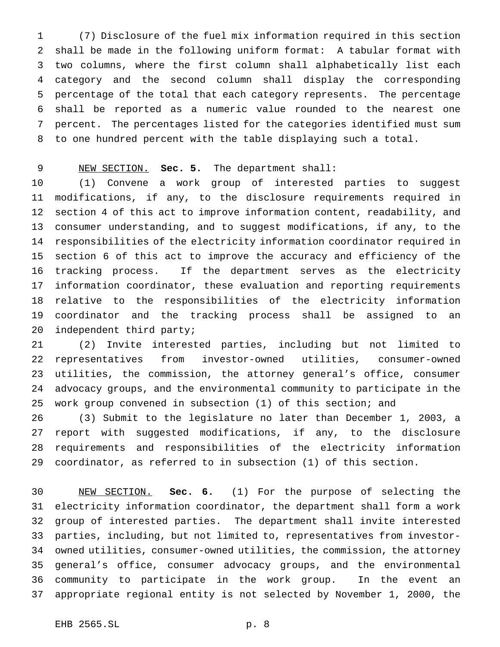(7) Disclosure of the fuel mix information required in this section shall be made in the following uniform format: A tabular format with two columns, where the first column shall alphabetically list each category and the second column shall display the corresponding percentage of the total that each category represents. The percentage shall be reported as a numeric value rounded to the nearest one percent. The percentages listed for the categories identified must sum to one hundred percent with the table displaying such a total.

## NEW SECTION. **Sec. 5.** The department shall:

 (1) Convene a work group of interested parties to suggest modifications, if any, to the disclosure requirements required in section 4 of this act to improve information content, readability, and consumer understanding, and to suggest modifications, if any, to the responsibilities of the electricity information coordinator required in section 6 of this act to improve the accuracy and efficiency of the tracking process. If the department serves as the electricity information coordinator, these evaluation and reporting requirements relative to the responsibilities of the electricity information coordinator and the tracking process shall be assigned to an independent third party;

 (2) Invite interested parties, including but not limited to representatives from investor-owned utilities, consumer-owned utilities, the commission, the attorney general's office, consumer advocacy groups, and the environmental community to participate in the work group convened in subsection (1) of this section; and

 (3) Submit to the legislature no later than December 1, 2003, a report with suggested modifications, if any, to the disclosure requirements and responsibilities of the electricity information coordinator, as referred to in subsection (1) of this section.

 NEW SECTION. **Sec. 6.** (1) For the purpose of selecting the electricity information coordinator, the department shall form a work group of interested parties. The department shall invite interested parties, including, but not limited to, representatives from investor- owned utilities, consumer-owned utilities, the commission, the attorney general's office, consumer advocacy groups, and the environmental community to participate in the work group. In the event an appropriate regional entity is not selected by November 1, 2000, the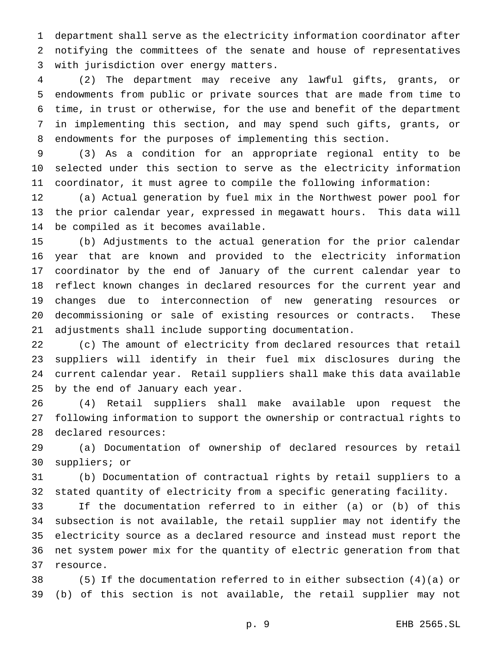department shall serve as the electricity information coordinator after notifying the committees of the senate and house of representatives with jurisdiction over energy matters.

 (2) The department may receive any lawful gifts, grants, or endowments from public or private sources that are made from time to time, in trust or otherwise, for the use and benefit of the department in implementing this section, and may spend such gifts, grants, or endowments for the purposes of implementing this section.

 (3) As a condition for an appropriate regional entity to be selected under this section to serve as the electricity information coordinator, it must agree to compile the following information:

 (a) Actual generation by fuel mix in the Northwest power pool for the prior calendar year, expressed in megawatt hours. This data will be compiled as it becomes available.

 (b) Adjustments to the actual generation for the prior calendar year that are known and provided to the electricity information coordinator by the end of January of the current calendar year to reflect known changes in declared resources for the current year and changes due to interconnection of new generating resources or decommissioning or sale of existing resources or contracts. These adjustments shall include supporting documentation.

 (c) The amount of electricity from declared resources that retail suppliers will identify in their fuel mix disclosures during the current calendar year. Retail suppliers shall make this data available by the end of January each year.

 (4) Retail suppliers shall make available upon request the following information to support the ownership or contractual rights to declared resources:

 (a) Documentation of ownership of declared resources by retail suppliers; or

 (b) Documentation of contractual rights by retail suppliers to a stated quantity of electricity from a specific generating facility.

 If the documentation referred to in either (a) or (b) of this subsection is not available, the retail supplier may not identify the electricity source as a declared resource and instead must report the net system power mix for the quantity of electric generation from that resource.

 (5) If the documentation referred to in either subsection (4)(a) or (b) of this section is not available, the retail supplier may not